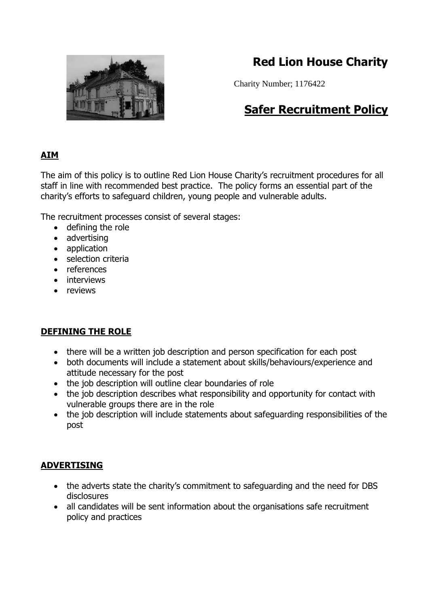

# **Red Lion House Charity**

Charity Number; 1176422

# **Safer Recruitment Policy**

## **AIM**

The aim of this policy is to outline Red Lion House Charity's recruitment procedures for all staff in line with recommended best practice. The policy forms an essential part of the charity's efforts to safeguard children, young people and vulnerable adults.

The recruitment processes consist of several stages:

- defining the role
- advertising
- application
- selection criteria
- references
- interviews
- reviews

### **DEFINING THE ROLE**

- there will be a written job description and person specification for each post
- both documents will include a statement about skills/behaviours/experience and attitude necessary for the post
- the job description will outline clear boundaries of role
- the job description describes what responsibility and opportunity for contact with vulnerable groups there are in the role
- the job description will include statements about safeguarding responsibilities of the post

### **ADVERTISING**

- the adverts state the charity's commitment to safeguarding and the need for DBS disclosures
- all candidates will be sent information about the organisations safe recruitment policy and practices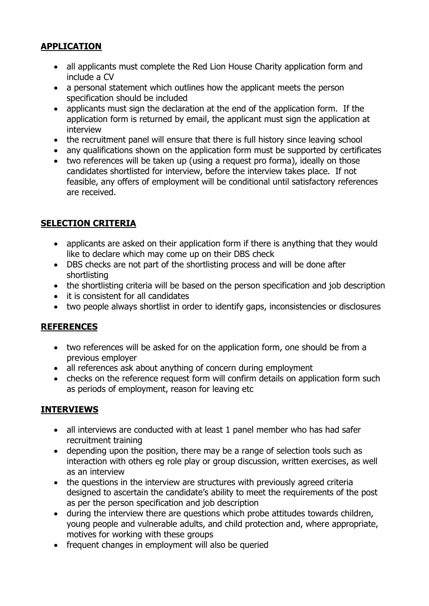### **APPLICATION**

- all applicants must complete the Red Lion House Charity application form and include a CV
- a personal statement which outlines how the applicant meets the person specification should be included
- applicants must sign the declaration at the end of the application form. If the application form is returned by email, the applicant must sign the application at interview
- the recruitment panel will ensure that there is full history since leaving school
- any qualifications shown on the application form must be supported by certificates
- two references will be taken up (using a request pro forma), ideally on those candidates shortlisted for interview, before the interview takes place. If not feasible, any offers of employment will be conditional until satisfactory references are received.

### **SELECTION CRITERIA**

- applicants are asked on their application form if there is anything that they would like to declare which may come up on their DBS check
- DBS checks are not part of the shortlisting process and will be done after shortlisting
- the shortlisting criteria will be based on the person specification and job description
- it is consistent for all candidates
- two people always shortlist in order to identify gaps, inconsistencies or disclosures

### **REFERENCES**

- two references will be asked for on the application form, one should be from a previous employer
- all references ask about anything of concern during employment
- checks on the reference request form will confirm details on application form such as periods of employment, reason for leaving etc

### **INTERVIEWS**

- all interviews are conducted with at least 1 panel member who has had safer recruitment training
- depending upon the position, there may be a range of selection tools such as interaction with others eg role play or group discussion, written exercises, as well as an interview
- the questions in the interview are structures with previously agreed criteria designed to ascertain the candidate's ability to meet the requirements of the post as per the person specification and job description
- during the interview there are questions which probe attitudes towards children, young people and vulnerable adults, and child protection and, where appropriate, motives for working with these groups
- frequent changes in employment will also be queried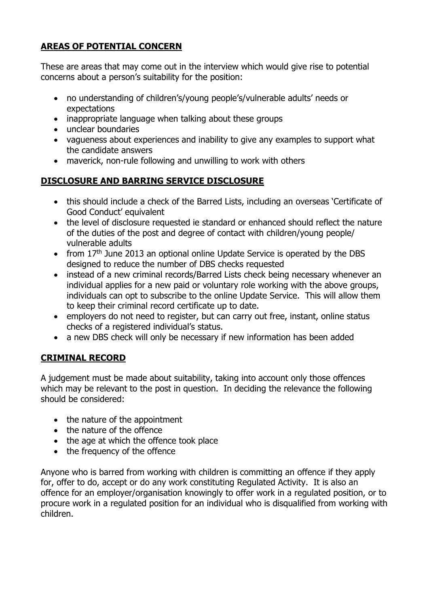## **AREAS OF POTENTIAL CONCERN**

These are areas that may come out in the interview which would give rise to potential concerns about a person's suitability for the position:

- no understanding of children's/young people's/vulnerable adults' needs or expectations
- inappropriate language when talking about these groups
- unclear boundaries
- vagueness about experiences and inability to give any examples to support what the candidate answers
- maverick, non-rule following and unwilling to work with others

## **DISCLOSURE AND BARRING SERVICE DISCLOSURE**

- this should include a check of the Barred Lists, including an overseas 'Certificate of Good Conduct' equivalent
- the level of disclosure requested ie standard or enhanced should reflect the nature of the duties of the post and degree of contact with children/young people/ vulnerable adults
- from 17<sup>th</sup> June 2013 an optional online Update Service is operated by the DBS designed to reduce the number of DBS checks requested
- instead of a new criminal records/Barred Lists check being necessary whenever an individual applies for a new paid or voluntary role working with the above groups, individuals can opt to subscribe to the online Update Service. This will allow them to keep their criminal record certificate up to date.
- employers do not need to register, but can carry out free, instant, online status checks of a registered individual's status.
- a new DBS check will only be necessary if new information has been added

## **CRIMINAL RECORD**

A judgement must be made about suitability, taking into account only those offences which may be relevant to the post in question. In deciding the relevance the following should be considered:

- the nature of the appointment
- the nature of the offence
- the age at which the offence took place
- the frequency of the offence

Anyone who is barred from working with children is committing an offence if they apply for, offer to do, accept or do any work constituting Regulated Activity. It is also an offence for an employer/organisation knowingly to offer work in a regulated position, or to procure work in a regulated position for an individual who is disqualified from working with children.